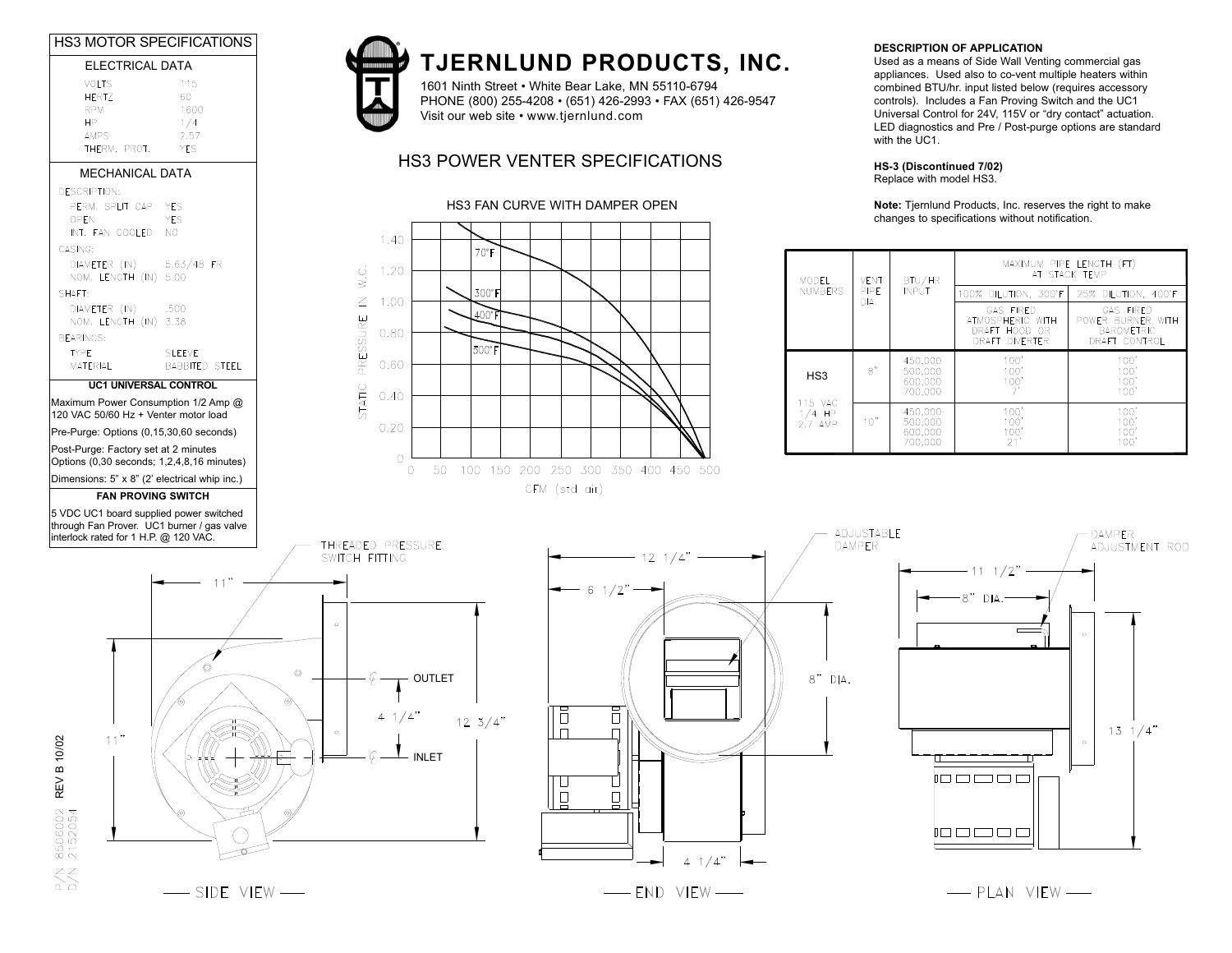



## TJERNLUND PRODUCTS, INC. **TJERNLUND PRODUCTS, INC.**

1601 Ninth Street • White Bear Lake, MN 55110-6794 PHONE (800) 255-4208 • (651) 426-2993 • FAX (651) 426-9547 Visit our web site • www.tjernlund.com

## HS3 POWER VENTER SPECIFICATIONS

#### HS3 FAN CURVE WITH DAMPER OPEN



#### **DESCRIPTION OF APPLICATION**

DESCRIPTION OF APPLICATION combined BTU/hr. input listed below (requires accessory Used as a means of Side Wall Venting commercial gas appliances. Used also to co-vent multiple heaters within controls). Includes a Fan Proving Switch and the UC1 Universal Control for 24V, 115V or "dry contact" actuation. LED diagnostics and Pre / Post-purge options are standard with the UC1.

#### **HS-3 (Discontinued 7/02)**

Replace with model HS3.

**Note:** Tjernlund Products, Inc. reserves the right to make changes to specifications without notification.

| <b>MODEL</b><br><b>NUMBERS</b>                    | <b>VENT</b><br><b>PIPE</b> | BTU/HR<br><b>INPUT</b><br>DIA.           | MAXIMUM PIPE LENGTH (FT)<br>AT STACK TEMP                               |                                                                             |
|---------------------------------------------------|----------------------------|------------------------------------------|-------------------------------------------------------------------------|-----------------------------------------------------------------------------|
|                                                   |                            |                                          | 100% DILUTION, 300°F                                                    | 25% DILUTION, 400°F                                                         |
|                                                   |                            |                                          | <b>GAS FIRED</b><br>ATMOSPHERIC WITH<br>DRAFT HOOD OR<br>DRAFT DIVERTER | <b>GAS FIRED</b><br>POWER BURNER WITH<br><b>BAROMETRIC</b><br>DRAFT CONTROL |
| HS <sub>3</sub><br>115 VAC<br>$1/4$ HP<br>2.7 AMP | 8"                         | 450.000<br>500.000<br>600,000<br>700.000 | 100'<br>100'<br>100'                                                    | 100'<br>100'<br>100'<br>100'                                                |
|                                                   | 10"                        | 450,000<br>500.000<br>600,000<br>700,000 | 100'<br>100'<br>100'<br>21                                              | 100'<br>100'<br>100'<br>100'                                                |



 $\overline{\phantom{0}}$  SIDE VIEW $\overline{\phantom{0}}$ 





- PLAN VIEW-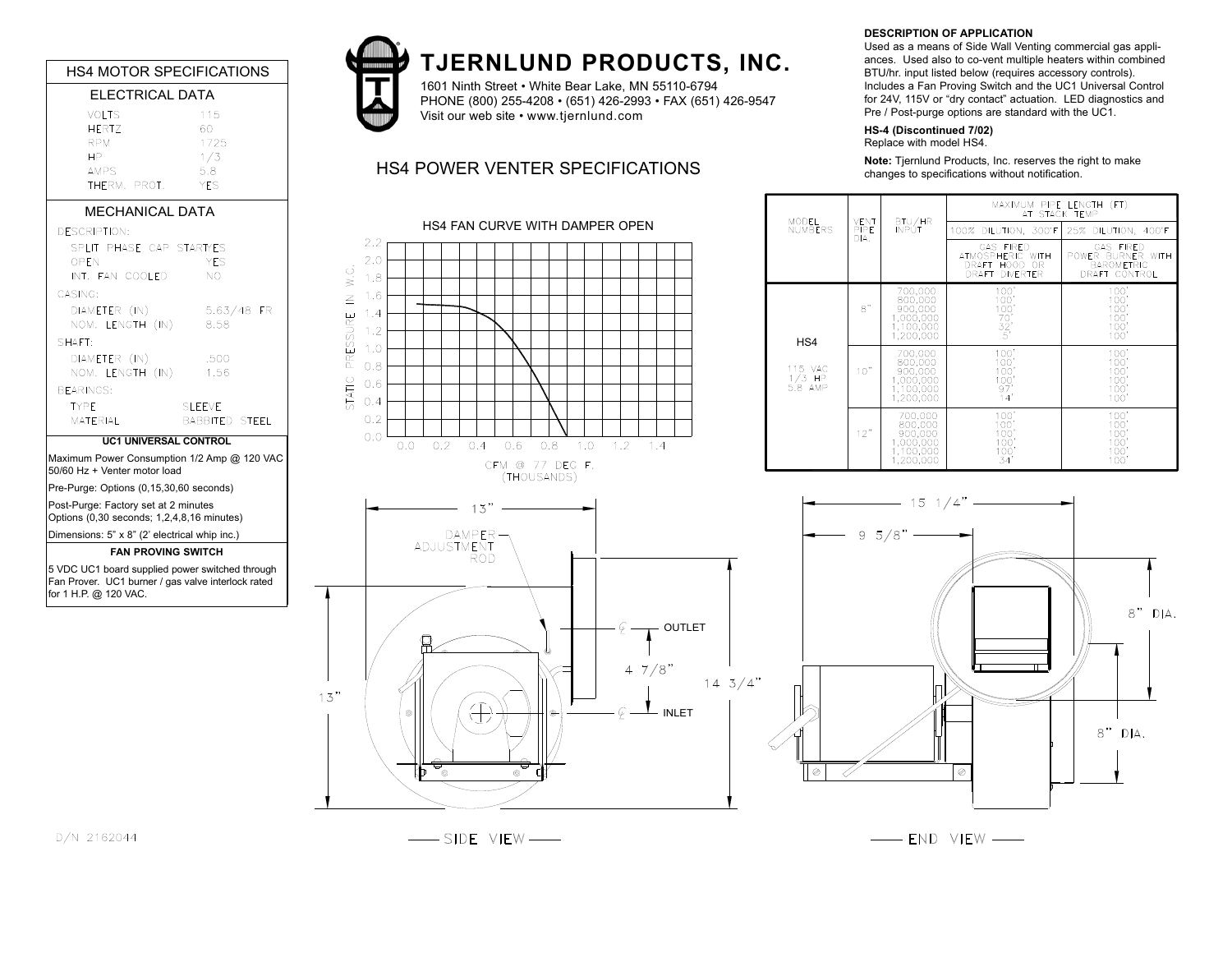|                                                                                                                                                                                                                                 |                                                                                                     |                                                                                                                              | <b>TJERNLUND PROD</b>                                                            |
|---------------------------------------------------------------------------------------------------------------------------------------------------------------------------------------------------------------------------------|-----------------------------------------------------------------------------------------------------|------------------------------------------------------------------------------------------------------------------------------|----------------------------------------------------------------------------------|
| <b>HS4 MOTOR SPECIFICATIONS</b><br><b>ELECTRICAL DATA</b>                                                                                                                                                                       |                                                                                                     |                                                                                                                              |                                                                                  |
|                                                                                                                                                                                                                                 |                                                                                                     |                                                                                                                              | 1601 Ninth Street . White Bear Lake, MN<br>PHONE (800) 255-4208 · (651) 426-2993 |
| <b>VOLTS</b><br><b>HERTZ</b><br><b>RPM</b><br><b>HP</b><br><b>AMPS</b><br>THERM. PROT.                                                                                                                                          | 115<br>60<br>1725<br>1/3<br>5.8<br><b>YES</b>                                                       |                                                                                                                              | Visit our web site • www.tjernlund.com<br><b>HS4 POWER VENTER SPECIFICAT</b>     |
| <b>MECHANICAL DATA</b>                                                                                                                                                                                                          |                                                                                                     |                                                                                                                              |                                                                                  |
| <b>DESCRIPTION:</b><br>SPLIT PHASE CAP STARTYES<br>OPEN<br>INT. FAN COOLED<br>CASING:<br>DIAMETER (IN)<br>NOM. LENGTH (IN)<br>SHAFT:<br>DIAMETER (IN)<br>NOM. LENGTH (IN)<br><b>BEARINGS:</b><br><b>TYPF</b><br><b>MATERIAL</b> | <b>YES</b><br>NO.<br>$5.63/48$ FR<br>8.58<br>.500<br>1.56<br><b>SLEEVE</b><br><b>BABBITED STEEL</b> | 2.2<br>2.0<br>Ċ.<br>1.8<br>$\dot{ }$<br>1.6<br>$\leq$<br>1.4<br>PRESSURE<br>1.2<br>1.0<br>0.8<br>STATIC<br>0.6<br>0.4<br>0.2 | <b>HS4 FAN CURVE WITH DAMPER OPEN</b>                                            |
| <b>UC1 UNIVERSAL CONTROL</b>                                                                                                                                                                                                    |                                                                                                     | 0.0<br>0.4<br>0.0<br>0.2                                                                                                     | 0.6<br>0.8<br>1.0<br>1.2                                                         |
| Maximum Power Consumption 1/2 Amp @ 120 VAC<br>50/60 Hz + Venter motor load                                                                                                                                                     |                                                                                                     |                                                                                                                              | CFM @ 77 DEG F.<br>(THOUSANDS)                                                   |
| Pre-Purge: Options (0,15,30,60 seconds)<br>Post-Purge: Factory set at 2 minutes<br>Options (0,30 seconds; 1,2,4,8,16 minutes)                                                                                                   |                                                                                                     | 13"                                                                                                                          |                                                                                  |
| Dimensions: 5" x 8" (2' electrical whip inc.)                                                                                                                                                                                   |                                                                                                     | DAMPER-                                                                                                                      |                                                                                  |
| <b>FAN PROVING SWITCH</b>                                                                                                                                                                                                       |                                                                                                     | ADJUSTMENT<br>ROD                                                                                                            |                                                                                  |
| 5 VDC UC1 board supplied power switched through<br>Fan Prover. UC1 burner / gas valve interlock rated<br>for 1 H.P. @ 120 VAC.                                                                                                  |                                                                                                     |                                                                                                                              | Ģ                                                                                |
|                                                                                                                                                                                                                                 |                                                                                                     |                                                                                                                              | 7,<br>4                                                                          |



# TJERNLUND PRODUCTS, INC. **TJERNLUND PRODUCTS, INC.**

1601 Ninth Street • White Bear Lake, MN 55110-6794 PHONE (800) 255-4208 • (651) 426-2993 • FAX (651) 426-9547 Visit our web site • www.tjernlund.com

# HS4 POWER VENTER SPECIFICATIONS



#### **DESCRIPTION OF APPLICATION**

ances. Used also to co-vent multiple heaters within combined Used as a means of Side Wall Venting commercial gas appli-BTU/hr. input listed below (requires accessory controls). Includes a Fan Proving Switch and the UC1 Universal Control for 24V, 115V or "dry contact" actuation. LED diagnostics and Pre / Post-purge options are standard with the UC1.

#### **HS-4 (Discontinued 7/02)**

Replace with model HS4.

**Note:** Tjernlund Products, Inc. reserves the right to make changes to specifications without notification.

| MODEL<br><b>NUMBERS</b><br>DIA.       | <b>VENT</b><br>PIPE | BTU/HR<br>INPÚT                                                      | MAXIMUM PIPE LENGTH (FT)<br>AT STACK TEMP                                         |                                                                             |
|---------------------------------------|---------------------|----------------------------------------------------------------------|-----------------------------------------------------------------------------------|-----------------------------------------------------------------------------|
|                                       |                     |                                                                      | 100% DILUTION, 300°F                                                              | DILUTION, 400°F<br>25%                                                      |
|                                       |                     |                                                                      | <b>GAS FIRED</b><br>ATMOSPHERIC WITH<br>DRAFT HOOD OR<br>DRAFT<br><b>DIVERTER</b> | <b>GAS FIRED</b><br>POWER BURNER WITH<br><b>BAROMETRIC</b><br>DRAFT CONTROL |
| HS4<br>115 VAC<br>$1/3$ HP<br>5.8 AMP | 8"                  | 700,000<br>800,000<br>900,000<br>1,000,000<br>1,100,000<br>1.200.000 | 100'<br>100'<br>100'<br>$70'$<br>32'<br>$\overline{5}$                            | 100'<br>100'<br>100'<br>100'<br>100'<br>100'                                |
|                                       | 10"                 | 700,000<br>800,000<br>900,000<br>1,000,000<br>1,100,000<br>1.200.000 | 100'<br>100'<br>100'<br>$\frac{100}{97}$<br>14'                                   | 100'<br>100'<br>100'<br>100'<br>100'<br>100'                                |
|                                       | 12"                 | 700,000<br>800,000<br>900,000<br>1,000,000<br>1,100,000<br>1.200.000 | 100'<br>100'<br>100'<br>100'<br>100'<br>34'                                       | 100'<br>100'<br>100'<br>100'<br>100'<br>100'                                |





- END VIEW -